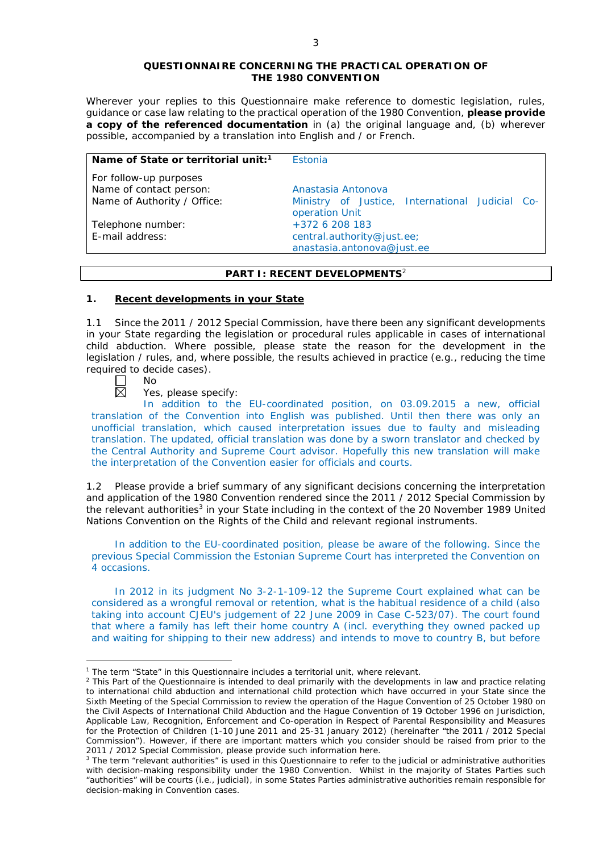#### **QUESTIONNAIRE CONCERNING THE PRACTICAL OPERATION OF THE 1980 CONVENTION**

*Wherever your replies to this Questionnaire make reference to domestic legislation, rules, guidance or case law relating to the practical operation of the 1980 Convention, please provide a copy of the referenced documentation in (a) the original language and, (b) wherever possible, accompanied by a translation into English and / or French.* 

| Name of State or territorial unit: <sup>1</sup>                                  | Estonia                                                                                 |
|----------------------------------------------------------------------------------|-----------------------------------------------------------------------------------------|
| For follow-up purposes<br>Name of contact person:<br>Name of Authority / Office: | Anastasia Antonova<br>Ministry of Justice, International Judicial Co-<br>operation Unit |
| Telephone number:<br>E-mail address:                                             | +372 6 208 183<br>central.authority@just.ee;<br>anastasia.antonova@just.ee              |

## **PART I: RECENT DEVELOPMENTS**<sup>2</sup>

### **1. Recent developments in your State**

1.1 Since the 2011 / 2012 Special Commission, have there been any significant developments in your State regarding the legislation or procedural rules applicable in cases of international child abduction. Where possible, please state the reason for the development in the legislation / rules, and, where possible, the results achieved in practice (*e.g.*, reducing the time required to decide cases).

| חוי |
|-----|
| ٠   |

<u>.</u>

Yes, please specify:

In addition to the EU-coordinated position, on 03.09.2015 a new, official translation of the Convention into English was published. Until then there was only an unofficial translation, which caused interpretation issues due to faulty and misleading translation. The updated, official translation was done by a sworn translator and checked by the Central Authority and Supreme Court advisor. Hopefully this new translation will make the interpretation of the Convention easier for officials and courts.

1.2 Please provide a brief summary of any significant decisions concerning the interpretation and application of the 1980 Convention rendered since the 2011 / 2012 Special Commission by the relevant authorities<sup>3</sup> in your State including in the context of the 20 November 1989 United Nations Convention on the Rights of the Child and relevant regional instruments.

In addition to the EU-coordinated position, please be aware of the following. Since the previous Special Commission the Estonian Supreme Court has interpreted the Convention on 4 occasions.

In 2012 in its judgment No 3-2-1-109-12 the Supreme Court explained what can be considered as a wrongful removal or retention, what is the habitual residence of a child (also taking into account CJEU's judgement of 22 June 2009 in Case C-523/07). The court found that where a family has left their home country A (incl. everything they owned packed up and waiting for shipping to their new address) and intends to move to country B, but before

<sup>&</sup>lt;sup>1</sup> The term "State" in this Questionnaire includes a territorial unit, where relevant.

 $<sup>2</sup>$  This Part of the Questionnaire is intended to deal primarily with the developments in law and practice relating</sup> to international child abduction and international child protection which have occurred in your State since the Sixth Meeting of the Special Commission to review the operation of the *Hague Convention of 25 October 1980 on the Civil Aspects of International Child Abduction* and the *Hague Convention of 19 October 1996 on Jurisdiction, Applicable Law, Recognition, Enforcement and Co-operation in Respect of Parental Responsibility and Measures for the Protection of Children* (1-10 June 2011 and 25-31 January 2012) (hereinafter "the 2011 / 2012 Special Commission"). However, if there are important matters which you consider should be raised from *prior to* the 2011 / 2012 Special Commission, please provide such information here.

<sup>&</sup>lt;sup>3</sup> The term "relevant authorities" is used in this Questionnaire to refer to the judicial or administrative authorities with decision-making responsibility under the 1980 Convention. Whilst in the majority of States Parties such "authorities" will be courts (*i.e.*, judicial), in some States Parties administrative authorities remain responsible for decision-making in Convention cases.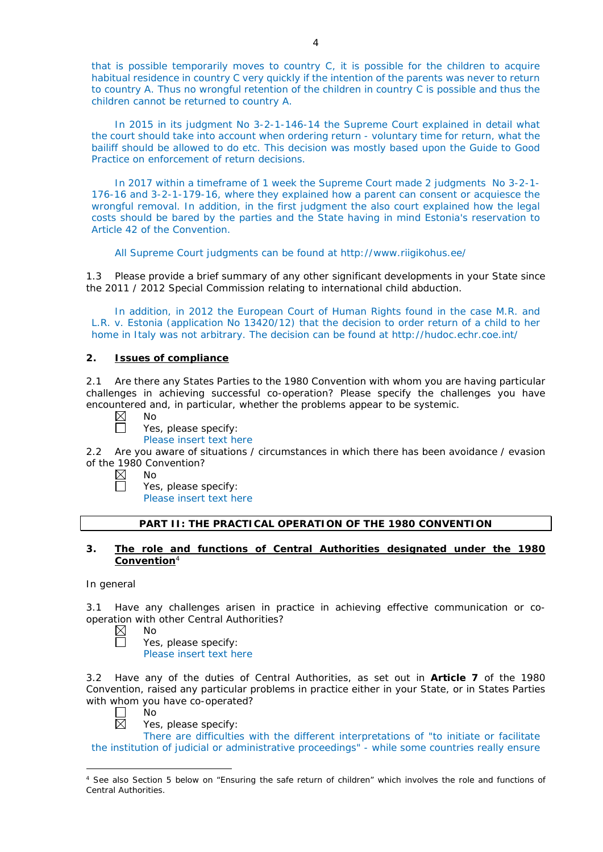that is possible temporarily moves to country C, it is possible for the children to acquire habitual residence in country C very quickly if the intention of the parents was never to return to country A. Thus no wrongful retention of the children in country C is possible and thus the children cannot be returned to country A.

In 2015 in its judgment No 3-2-1-146-14 the Supreme Court explained in detail what the court should take into account when ordering return - voluntary time for return, what the bailiff should be allowed to do etc. This decision was mostly based upon the Guide to Good Practice on enforcement of return decisions.

In 2017 within a timeframe of 1 week the Supreme Court made 2 judgments No 3-2-1- 176-16 and 3-2-1-179-16, where they explained how a parent can consent or acquiesce the wrongful removal. In addition, in the first judgment the also court explained how the legal costs should be bared by the parties and the State having in mind Estonia's reservation to Article 42 of the Convention.

All Supreme Court judgments can be found at http://www.riigikohus.ee/

1.3 Please provide a brief summary of any other significant developments in your State since the 2011 / 2012 Special Commission relating to international child abduction.

In addition, in 2012 the European Court of Human Rights found in the case M.R. and L.R. v. Estonia (application No 13420/12) that the decision to order return of a child to her home in Italy was not arbitrary. The decision can be found at http://hudoc.echr.coe.int/

### **2. Issues of compliance**

2.1 Are there any States Parties to the 1980 Convention with whom you are having particular challenges in achieving successful co-operation? Please specify the challenges you have encountered and, in particular, whether the problems appear to be systemic.

- $\boxtimes$ No
	- Yes, please specify:
		- Please insert text here

2.2 Are you aware of situations / circumstances in which there has been avoidance / evasion of the 1980 Convention?

- $\boxtimes$ No
	- Yes, please specify:
		- Please insert text here

# **PART II: THE PRACTICAL OPERATION OF THE 1980 CONVENTION**

## **3. The role and functions of Central Authorities designated under the 1980 Convention**<sup>4</sup>

### *In general*

3.1 Have any challenges arisen in practice in achieving effective communication or cooperation with other Central Authorities?<br>  $\boxtimes$  No<br>
Yes, please specify:

- No
	- Yes, please specify:
		- Please insert text here

3.2 Have any of the duties of Central Authorities, as set out in **Article 7** of the 1980 Convention, raised any particular problems in practice either in your State, or in States Parties with whom you have co-operated?

- No  $\Box$ 反
	- Yes, please specify:

There are difficulties with the different interpretations of "to initiate or facilitate the institution of judicial or administrative proceedings" - while some countries really ensure

<sup>-</sup><sup>4</sup> See also Section 5 below on "Ensuring the safe return of children" which involves the role and functions of Central Authorities.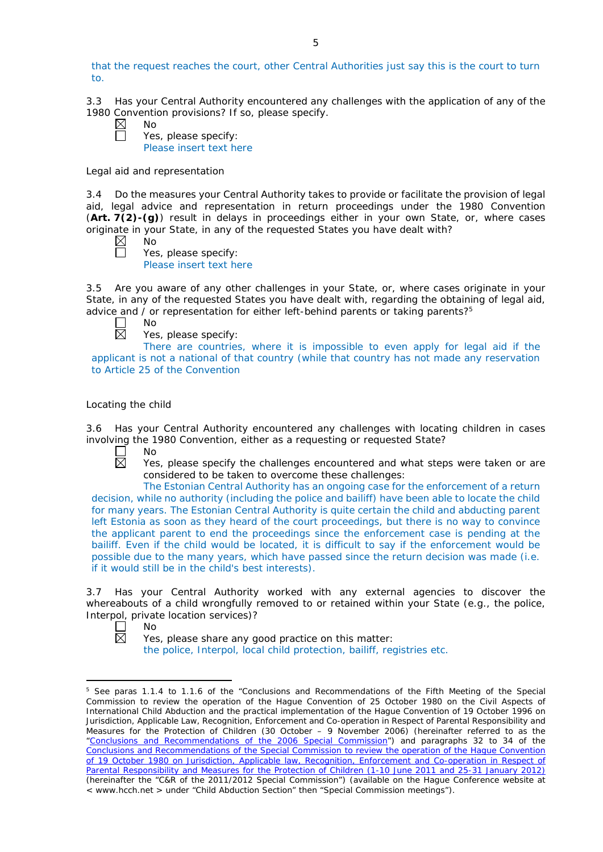that the request reaches the court, other Central Authorities just say this is the court to turn to.

3.3 Has your Central Authority encountered any challenges with the application of any of the 1980 Convention provisions? If so, please specify.<br>  $\boxtimes$  No

No

Yes, please specify: Please insert text here

### *Legal aid and representation*

3.4 Do the measures your Central Authority takes to provide or facilitate the provision of legal aid, legal advice and representation in return proceedings under the 1980 Convention (**Art. 7(2)-(g)**) result in delays in proceedings either in your own State, or, where cases originate in your State, in any of the requested States you have dealt with?

 $\boxtimes$ No

 $\Box$ 

Yes, please specify: Please insert text here

3.5 Are you aware of any other challenges in your State, or, where cases originate in your State, in any of the requested States you have dealt with, regarding the obtaining of legal aid, advice and / or representation for either left-behind parents or taking parents?<sup>5</sup>

- No 岗
	- Yes, please specify:

There are countries, where it is impossible to even apply for legal aid if the applicant is not a national of that country (while that country has not made any reservation to Article 25 of the Convention

### *Locating the child*

3.6 Has your Central Authority encountered any challenges with locating children in cases involving the 1980 Convention, either as a requesting or requested State?

 $\Box$ No 岗

Yes, please specify the challenges encountered and what steps were taken or are considered to be taken to overcome these challenges:

The Estonian Central Authority has an ongoing case for the enforcement of a return decision, while no authority (including the police and bailiff) have been able to locate the child for many years. The Estonian Central Authority is quite certain the child and abducting parent left Estonia as soon as they heard of the court proceedings, but there is no way to convince the applicant parent to end the proceedings since the enforcement case is pending at the bailiff. Even if the child would be located, it is difficult to say if the enforcement would be possible due to the many years, which have passed since the return decision was made (i.e. if it would still be in the child's best interests).

3.7 Has your Central Authority worked with any external agencies to discover the whereabouts of a child wrongfully removed to or retained within your State (*e.g.*, the police, Interpol, private location services)?

No 岗

<u>.</u>

Yes, please share any good practice on this matter: the police, Interpol, local child protection, bailiff, registries etc.

<sup>&</sup>lt;sup>5</sup> See paras 1.1.4 to 1.1.6 of the "Conclusions and Recommendations of the Fifth Meeting of the Special Commission to review the operation of the *Hague Convention of 25 October 1980 on the Civil Aspects of International Child Abduction* and the practical implementation of the *Hague Convention of 19 October 1996 on Jurisdiction, Applicable Law, Recognition, Enforcement and Co-operation in Respect of Parental Responsibility and Measures for the Protection of Children* (30 October – 9 November 2006) (hereinafter referred to as the ["Conclusions and Recommendations of the 2006 Special Commission"](https://assets.hcch.net/upload/concl28sc5_e.pdf)) and paragraphs 32 to 34 of the [Conclusions and Recommendations of the Special Commission](https://assets.hcch.net/upload/wop/concl28sc6_e.pdf) to review the operation of the Hague Convention of *[19 October 1980 on Jurisdiction, Applicable law, Recognition, Enforcement and Co-operation in Respect of](https://assets.hcch.net/upload/wop/concl28sc6_e.pdf)  [Parental Responsibility and Measures for the Protection of Children](https://assets.hcch.net/upload/wop/concl28sc6_e.pdf)* (1-10 June 2011 and 25-31 January 2012) (hereinafter the "C&R of the 2011/2012 Special Commission") (available on the Hague Conference website at < www.hcch.net > under "Child Abduction Section" then "Special Commission meetings").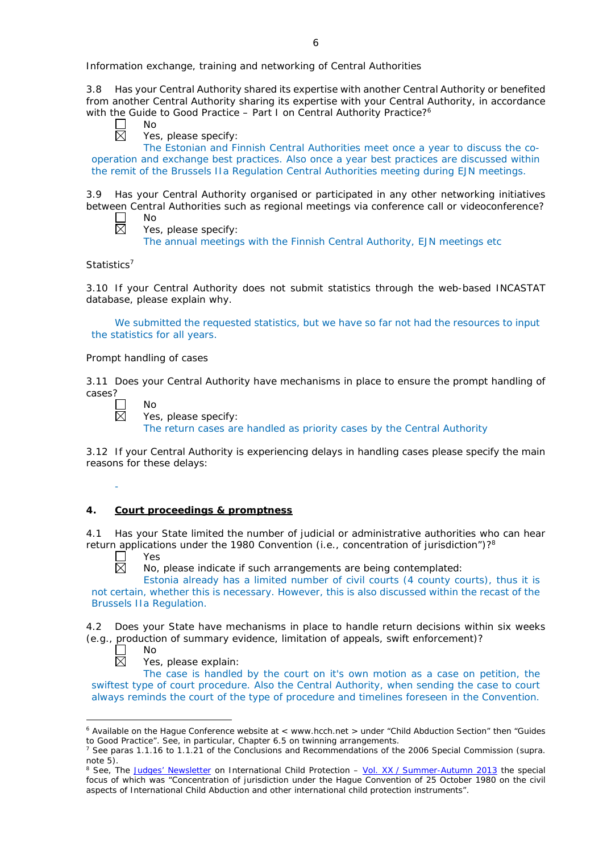*Information exchange, training and networking of Central Authorities*

3.8 Has your Central Authority shared its expertise with another Central Authority or benefited from another Central Authority sharing its expertise with your Central Authority, in accordance with the Guide to Good Practice - Part I on Central Authority Practice?<sup>6</sup>

┍ No  $\overline{\boxtimes}$ 

Yes, please specify:

The Estonian and Finnish Central Authorities meet once a year to discuss the cooperation and exchange best practices. Also once a year best practices are discussed within the remit of the Brussels IIa Regulation Central Authorities meeting during EJN meetings.

3.9 Has your Central Authority organised or participated in any other networking initiatives between Central Authorities such as regional meetings via conference call or videoconference?

No

Yes, please specify:

The annual meetings with the Finnish Central Authority, EJN meetings etc

## *Statistics*<sup>7</sup>

3.10 If your Central Authority does not submit statistics through the web-based INCASTAT database, please explain why.

We submitted the requested statistics, but we have so far not had the resources to input the statistics for all years.

### *Prompt handling of cases*

No

3.11 Does your Central Authority have mechanisms in place to ensure the prompt handling of cases?



-

Yes, please specify:

The return cases are handled as priority cases by the Central Authority

3.12 If your Central Authority is experiencing delays in handling cases please specify the main reasons for these delays:

### **4. Court proceedings & promptness**

4.1 Has your State limited the number of judicial or administrative authorities who can hear return applications under the 1980 Convention (*i.e.*, concentration of jurisdiction")?8

 $\Box$ Yes  $\boxtimes$ 

No, please indicate if such arrangements are being contemplated:

Estonia already has a limited number of civil courts (4 county courts), thus it is not certain, whether this is necessary. However, this is also discussed within the recast of the Brussels IIa Regulation.

4.2 Does your State have mechanisms in place to handle return decisions within six weeks (*e.g.*, production of summary evidence, limitation of appeals, swift enforcement)?



<u>.</u>

No

Yes, please explain:

The case is handled by the court on it's own motion as a case on petition, the swiftest type of court procedure. Also the Central Authority, when sending the case to court always reminds the court of the type of procedure and timelines foreseen in the Convention.

岗

<sup>&</sup>lt;sup>6</sup> Available on the Hague Conference website at < www.hcch.net > under "Child Abduction Section" then "Guides to Good Practice". See, in particular, Chapter 6.5 on twinning arrangements.

<sup>7</sup> See paras 1.1.16 to 1.1.21 of the Conclusions and Recommendations of the 2006 Special Commission (*supra.*  note 5).

<sup>8</sup> See, *The [Judges' Newsletter](https://www.hcch.net/en/instruments/conventions/publications2/judges-newsletter)* on International Child Protection – Vol. XX / [Summer-Autumn 2013](https://assets.hcch.net/upload/newsletter/nl2013tome20en.pdf) the special focus of which was "Concentration of jurisdiction under the *Hague Convention of 25 October 1980 on the civil aspects of International Child Abduction* and other international child protection instruments".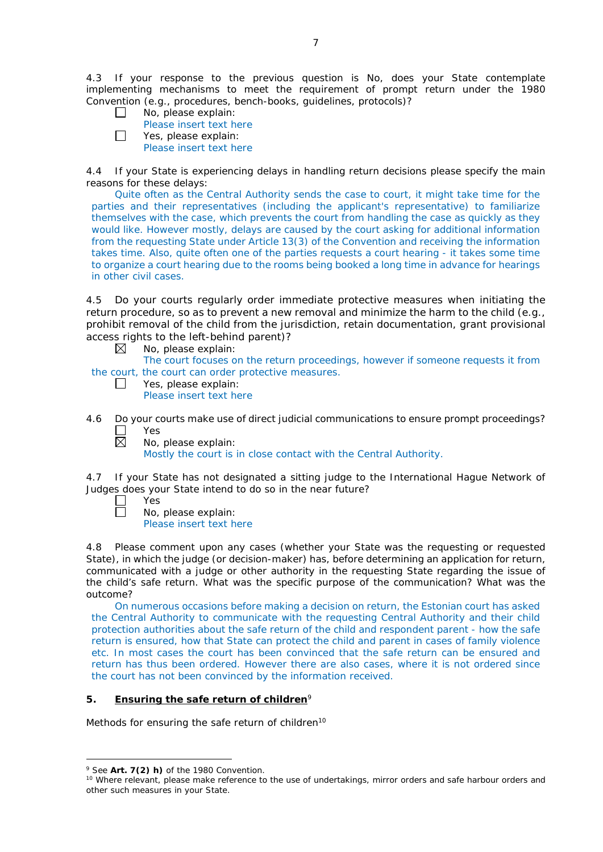4.3 If your response to the previous question is No, does your State contemplate implementing mechanisms to meet the requirement of prompt return under the 1980 Convention (*e.g.*, procedures, bench-books, guidelines, protocols)?

- No, please explain:  $\perp$
- Please insert text here  $\Box$ Yes, please explain: Please insert text here

4.4 If your State is experiencing delays in handling return decisions please specify the main reasons for these delays:

Quite often as the Central Authority sends the case to court, it might take time for the parties and their representatives (including the applicant's representative) to familiarize themselves with the case, which prevents the court from handling the case as quickly as they would like. However mostly, delays are caused by the court asking for additional information from the requesting State under Article 13(3) of the Convention and receiving the information takes time. Also, quite often one of the parties requests a court hearing - it takes some time to organize a court hearing due to the rooms being booked a long time in advance for hearings in other civil cases.

4.5 Do your courts regularly order immediate protective measures when initiating the return procedure, so as to prevent a new removal and minimize the harm to the child (*e.g.*, prohibit removal of the child from the jurisdiction, retain documentation, grant provisional access rights to the left-behind parent)?

 $\boxtimes$ No, please explain:

 $\Box$ 

The court focuses on the return proceedings, however if someone requests it from the court, the court can order protective measures.

Yes, please explain: Please insert text here

4.6 Do your courts make use of direct judicial communications to ensure prompt proceedings? П Yes

 $\boxtimes$ No, please explain: Mostly the court is in close contact with the Central Authority.

4.7 If your State has not designated a sitting judge to the International Hague Network of Judges does your State intend to do so in the near future?

 $\Box$ Yes  $\Box$ No, please explain: Please insert text here

4.8 Please comment upon any cases (whether your State was the requesting or requested State), in which the judge (or decision-maker) has, before determining an application for return, communicated with a judge or other authority in the requesting State regarding the issue of the child's safe return. What was the specific purpose of the communication? What was the outcome?

On numerous occasions before making a decision on return, the Estonian court has asked the Central Authority to communicate with the requesting Central Authority and their child protection authorities about the safe return of the child and respondent parent - how the safe return is ensured, how that State can protect the child and parent in cases of family violence etc. In most cases the court has been convinced that the safe return can be ensured and return has thus been ordered. However there are also cases, where it is not ordered since the court has not been convinced by the information received.

# **5. Ensuring the safe return of children**<sup>9</sup>

*Methods for ensuring the safe return of children*<sup>10</sup>

<sup>-</sup><sup>9</sup> See **Art. 7(2)** *h)* of the 1980 Convention.

<sup>&</sup>lt;sup>10</sup> Where relevant, please make reference to the use of undertakings, mirror orders and safe harbour orders and other such measures in your State.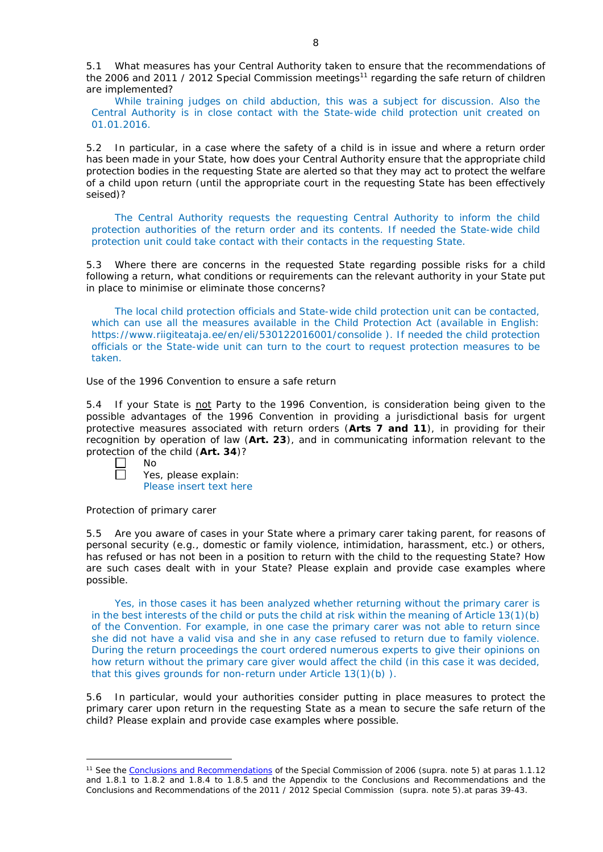5.1 What measures has your Central Authority taken to ensure that the recommendations of the 2006 and 2011 / 2012 Special Commission meetings<sup>11</sup> regarding the safe return of children are implemented?

While training judges on child abduction, this was a subject for discussion. Also the Central Authority is in close contact with the State-wide child protection unit created on 01.01.2016.

5.2 In particular, in a case where the safety of a child is in issue and where a return order has been made in your State, how does your Central Authority ensure that the appropriate child protection bodies in the *requesting* State are alerted so that they may act to protect the welfare of a child upon return (until the appropriate court in the requesting State has been effectively seised)?

The Central Authority requests the requesting Central Authority to inform the child protection authorities of the return order and its contents. If needed the State-wide child protection unit could take contact with their contacts in the requesting State.

5.3 Where there are concerns in the requested State regarding possible risks for a child following a return, what conditions or requirements can the relevant authority in your State put in place to minimise or eliminate those concerns?

The local child protection officials and State-wide child protection unit can be contacted, which can use all the measures available in the Child Protection Act (available in English: https://www.riigiteataja.ee/en/eli/530122016001/consolide ). If needed the child protection officials or the State-wide unit can turn to the court to request protection measures to be taken.

## *Use of the 1996 Convention to ensure a safe return*

5.4 If your State is not Party to the 1996 Convention, is consideration being given to the possible advantages of the 1996 Convention in providing a jurisdictional basis for urgent protective measures associated with return orders (**Arts 7 and 11**), in providing for their recognition by operation of law (**Art. 23**), and in communicating information relevant to the protection of the child (**Art. 34**)?

П No

-

Yes, please explain: Please insert text here

#### *Protection of primary carer*

5.5 Are you aware of cases in your State where a primary carer taking parent, for reasons of personal security (*e.g.*, domestic or family violence, intimidation, harassment, etc.) or others, has refused or has not been in a position to return with the child to the requesting State? How are such cases dealt with in your State? Please explain and provide case examples where possible.

Yes, in those cases it has been analyzed whether returning without the primary carer is in the best interests of the child or puts the child at risk within the meaning of Article 13(1)(b) of the Convention. For example, in one case the primary carer was not able to return since she did not have a valid visa and she in any case refused to return due to family violence. During the return proceedings the court ordered numerous experts to give their opinions on how return without the primary care giver would affect the child (in this case it was decided, that this gives grounds for non-return under Article 13(1)(b) ).

5.6 In particular, would your authorities consider putting in place measures to protect the primary carer upon return in the requesting State as a mean to secure the safe return of the child? Please explain and provide case examples where possible.

<sup>11</sup> See the [Conclusions and Recommendations](https://assets.hcch.net/upload/concl28sc5_e.pdf) of the Special Commission of 2006 (*supra.* note 5) at paras 1.1.12 and 1.8.1 to 1.8.2 and 1.8.4 to 1.8.5 and the Appendix to the Conclusions and Recommendations and the [Conclusions and Recommendations of the 2011](https://assets.hcch.net/upload/wop/concl28sc6_e.pdf) / 2012 Special Commission (*supra.* note 5).at paras 39-43.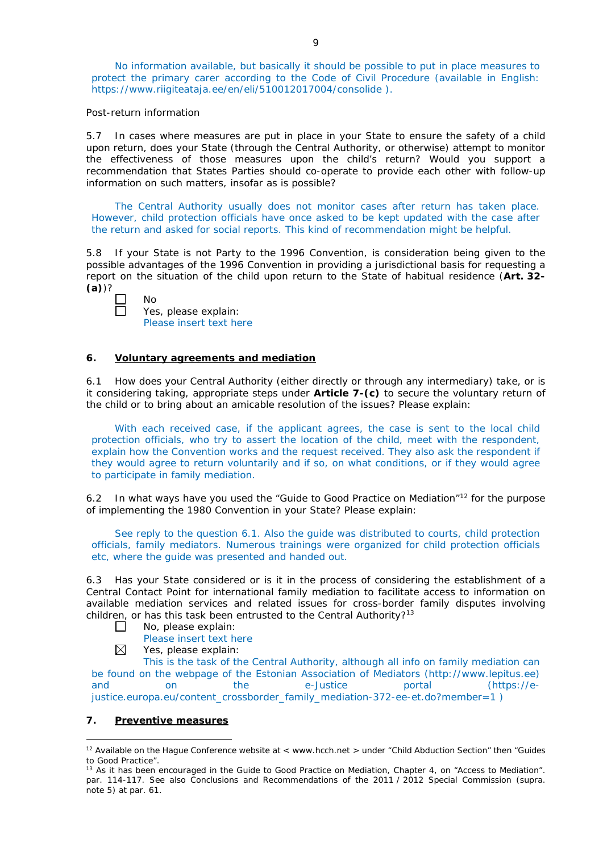No information available, but basically it should be possible to put in place measures to protect the primary carer according to the Code of Civil Procedure (available in English: https://www.riigiteataja.ee/en/eli/510012017004/consolide ).

#### *Post-return information*

5.7 In cases where measures are put in place in your State to ensure the safety of a child upon return, does your State (through the Central Authority, or otherwise) attempt to monitor the effectiveness of those measures upon the child's return? Would you support a recommendation that States Parties should co-operate to provide each other with follow-up information on such matters, insofar as is possible?

The Central Authority usually does not monitor cases after return has taken place. However, child protection officials have once asked to be kept updated with the case after the return and asked for social reports. This kind of recommendation might be helpful.

5.8 If your State is not Party to the 1996 Convention, is consideration being given to the possible advantages of the 1996 Convention in providing a jurisdictional basis for requesting a report on the situation of the child upon return to the State of habitual residence (**Art. 32- (a)**)?

П  $\Box$ 

No

Yes, please explain: Please insert text here

### **6. Voluntary agreements and mediation**

6.1 How does your Central Authority (either directly or through any intermediary) take, or is it considering taking, appropriate steps under **Article 7-(c)** to secure the voluntary return of the child or to bring about an amicable resolution of the issues? Please explain:

With each received case, if the applicant agrees, the case is sent to the local child protection officials, who try to assert the location of the child, meet with the respondent, explain how the Convention works and the request received. They also ask the respondent if they would agree to return voluntarily and if so, on what conditions, or if they would agree to participate in family mediation.

6.2 In what ways have you used the "Guide to Good Practice on Mediation"<sup>12</sup> for the purpose of implementing the 1980 Convention in your State? Please explain:

See reply to the question 6.1. Also the guide was distributed to courts, child protection officials, family mediators. Numerous trainings were organized for child protection officials etc, where the guide was presented and handed out.

6.3 Has your State considered or is it in the process of considering the establishment of a Central Contact Point for international family mediation to facilitate access to information on available mediation services and related issues for cross-border family disputes involving children, or has this task been entrusted to the Central Authority?<sup>13</sup>

- No, please explain:  $\Box$ 
	- Please insert text here
- ⊠ Yes, please explain:

This is the task of the Central Authority, although all info on family mediation can be found on the webpage of the Estonian Association of Mediators (http://www.lepitus.ee)<br>and on the e-Justice portal (https://eand on the e-Justice portal (https://ejustice.europa.eu/content\_crossborder\_family\_mediation-372-ee-et.do?member=1 )

### **7. Preventive measures**

-

<sup>&</sup>lt;sup>12</sup> Available on the Hague Conference website at < www.hcch.net > under "Child Abduction Section" then "Guides to Good Practice".

<sup>&</sup>lt;sup>13</sup> As it has been encouraged in the Guide to Good Practice on Mediation, Chapter 4, on "Access to Mediation". par. 114-117. See also [Conclusions and Recommendations of the 2011](https://assets.hcch.net/upload/wop/concl28sc6_e.pdf) / 2012 Special Commission (*supra.* note 5) at par. 61.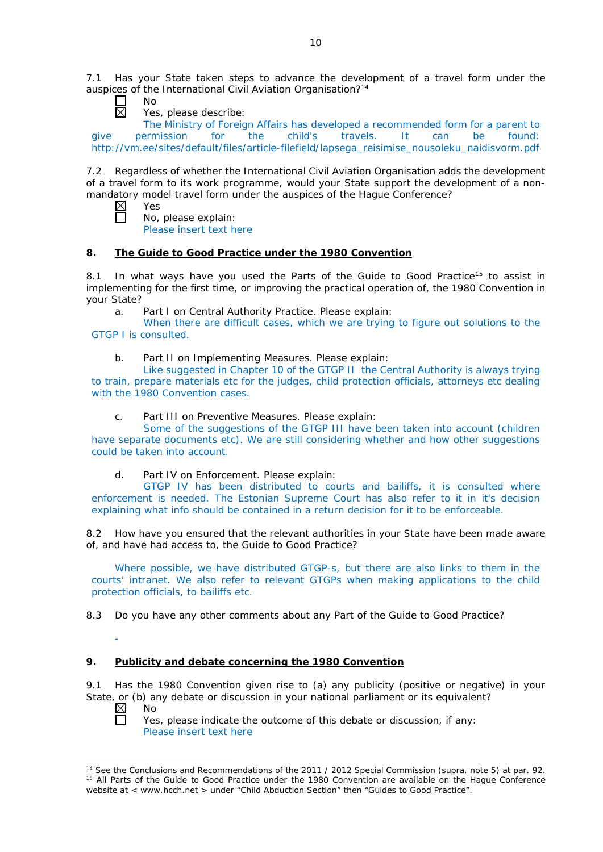7.1 Has your State taken steps to advance the development of a travel form under the auspices of the International Civil Aviation Organisation?14

- П No 反
	- Yes, please describe:

The Ministry of Foreign Affairs has developed a recommended form for a parent to give permission for the child's travels. It can be found: http://vm.ee/sites/default/files/article-filefield/lapsega\_reisimise\_nousoleku\_naidisvorm.pdf

7.2 Regardless of whether the International Civil Aviation Organisation adds the development of a travel form to its work programme, would your State support the development of a nonmandatory model travel form under the auspices of the Hague Conference?

⊠ Yes  $\Box$ 

No, please explain: Please insert text here

## **8. The Guide to Good Practice under the 1980 Convention**

8.1 In what ways have you used the Parts of the Guide to Good Practice<sup>15</sup> to assist in implementing for the first time, or improving the practical operation of, the 1980 Convention in your State?

a. Part I on Central Authority Practice. Please explain:

When there are difficult cases, which we are trying to figure out solutions to the GTGP I is consulted.

b. Part II on Implementing Measures. Please explain:

Like suggested in Chapter 10 of the GTGP II the Central Authority is always trying to train, prepare materials etc for the judges, child protection officials, attorneys etc dealing with the 1980 Convention cases.

# c. Part III on Preventive Measures. Please explain:

Some of the suggestions of the GTGP III have been taken into account (children have separate documents etc). We are still considering whether and how other suggestions could be taken into account.

d. Part IV on Enforcement. Please explain:

GTGP IV has been distributed to courts and bailiffs, it is consulted where enforcement is needed. The Estonian Supreme Court has also refer to it in it's decision explaining what info should be contained in a return decision for it to be enforceable.

8.2 How have you ensured that the relevant authorities in your State have been made aware of, and have had access to, the Guide to Good Practice?

Where possible, we have distributed GTGP-s, but there are also links to them in the courts' intranet. We also refer to relevant GTGPs when making applications to the child protection officials, to bailiffs etc.

8.3 Do you have any other comments about any Part of the Guide to Good Practice?

# **9. Publicity and debate concerning the 1980 Convention**

9.1 Has the 1980 Convention given rise to (a) any publicity (positive or negative) in your State, or (b) any debate or discussion in your national parliament or its equivalent?<br>  $\boxtimes$  No

No

-

-

Yes, please indicate the outcome of this debate or discussion, if any: Please insert text here

<sup>14</sup> See the [Conclusions and Recommendations of the 2011](https://assets.hcch.net/upload/wop/concl28sc6_e.pdf) / 2012 Special Commission (*supra.* note 5) at par. 92. <sup>15</sup> All Parts of the Guide to Good Practice under the 1980 Convention are available on the Hague Conference website at < www.hcch.net > under "Child Abduction Section" then "Guides to Good Practice".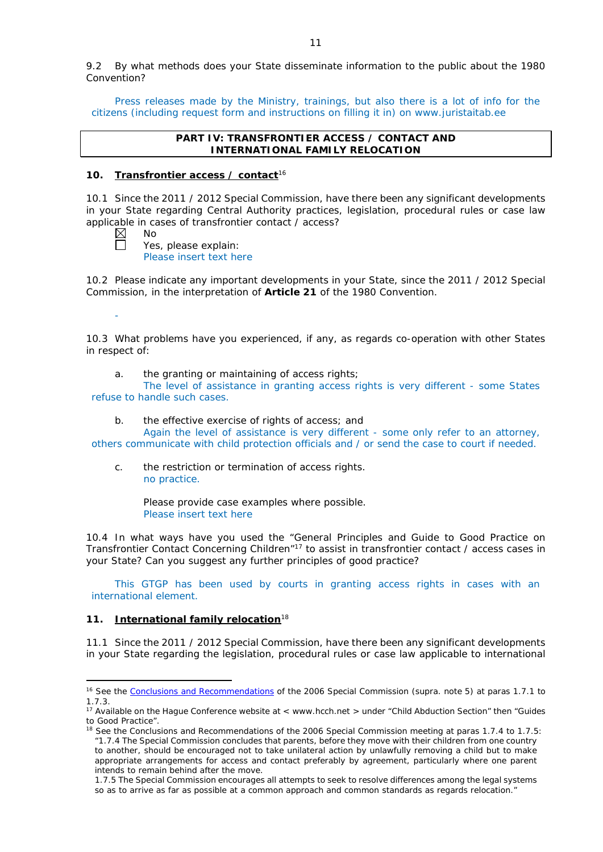9.2 By what methods does your State disseminate information to the public about the 1980 Convention?

Press releases made by the Ministry, trainings, but also there is a lot of info for the citizens (including request form and instructions on filling it in) on www.juristaitab.ee

## **PART IV: TRANSFRONTIER ACCESS / CONTACT AND INTERNATIONAL FAMILY RELOCATION**

# **10. Transfrontier access / contact**<sup>16</sup>

10.1 Since the 2011 / 2012 Special Commission, have there been any significant developments in your State regarding Central Authority practices, legislation, procedural rules or case law applicable in cases of transfrontier contact / access?

| חוי<br>× |
|----------|
|          |

Yes, please explain: Please insert text here

10.2 Please indicate any important developments in your State, since the 2011 / 2012 Special Commission, in the interpretation of **Article 21** of the 1980 Convention.

-

<u>.</u>

10.3 What problems have you experienced, if any, as regards co-operation with other States in respect of:

a. the granting or maintaining of access rights;

The level of assistance in granting access rights is very different - some States refuse to handle such cases.

b. the effective exercise of rights of access; and

Again the level of assistance is very different - some only refer to an attorney, others communicate with child protection officials and / or send the case to court if needed.

c. the restriction or termination of access rights. no practice.

> Please provide case examples where possible. Please insert text here

10.4 In what ways have you used the "General Principles and Guide to Good Practice on Transfrontier Contact Concerning Children"17 to assist in transfrontier contact / access cases in your State? Can you suggest any further principles of good practice?

This GTGP has been used by courts in granting access rights in cases with an international element.

# **11. International family relocation**<sup>18</sup>

11.1 Since the 2011 / 2012 Special Commission, have there been any significant developments in your State regarding the legislation, procedural rules or case law applicable to international

<sup>&</sup>lt;sup>16</sup> See the [Conclusions and Recommendations](https://assets.hcch.net/upload/concl28sc5_e.pdf)</u> of the 2006 Special Commission (*supra*. note 5) at paras 1.7.1 to 1.7.3.

<sup>&</sup>lt;sup>17</sup> Available on the Hague Conference website at < www.hcch.net > under "Child Abduction Section" then "Guides to Good Practice".

<sup>&</sup>lt;sup>18</sup> See the Conclusions and Recommendations of the 2006 Special Commission meeting at paras 1.7.4 to 1.7.5: *"*1.7.4 The Special Commission concludes that parents, before they move with their children from one country to another, should be encouraged not to take unilateral action by unlawfully removing a child but to make appropriate arrangements for access and contact preferably by agreement, particularly where one parent intends to remain behind after the move.

<sup>1.7.5</sup> The Special Commission encourages all attempts to seek to resolve differences among the legal systems so as to arrive as far as possible at a common approach and common standards as regards relocation."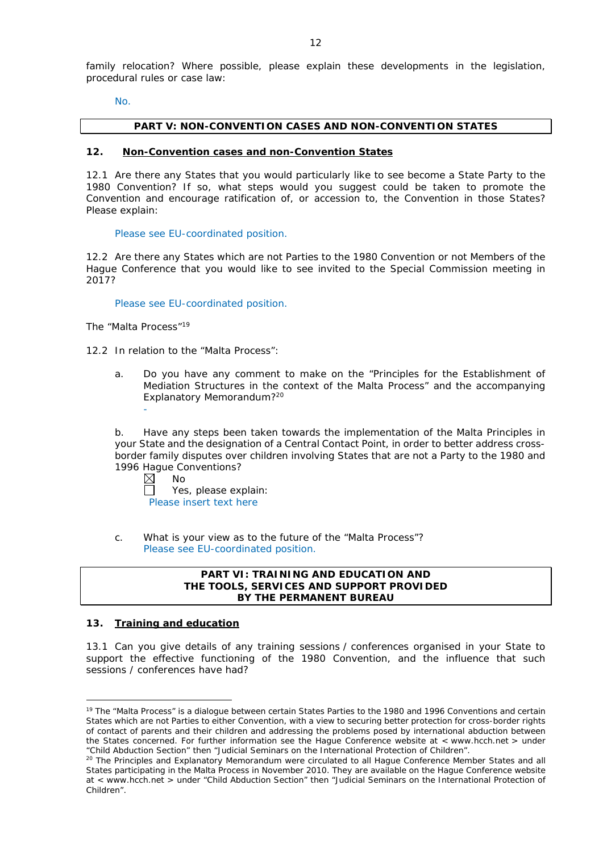family relocation? Where possible, please explain these developments in the legislation, procedural rules or case law:

No.

### **PART V: NON-CONVENTION CASES AND NON-CONVENTION STATES**

### **12. Non-Convention cases and non-Convention States**

12.1 Are there any States that you would particularly like to see become a State Party to the 1980 Convention? If so, what steps would you suggest could be taken to promote the Convention and encourage ratification of, or accession to, the Convention in those States? Please explain:

Please see EU-coordinated position.

12.2 Are there any States which are not Parties to the 1980 Convention or not Members of the Hague Conference that you would like to see invited to the Special Commission meeting in 2017?

Please see EU-coordinated position.

*The "Malta Process"*<sup>19</sup>

-

12.2 In relation to the "Malta Process":

a. Do you have any comment to make on the "Principles for the Establishment of Mediation Structures in the context of the Malta Process" and the accompanying Explanatory Memorandum?20

b. Have any steps been taken towards the implementation of the Malta Principles in your State and the designation of a Central Contact Point, in order to better address crossborder family disputes over children involving States that are not a Party to the 1980 and 1996 Hague Conventions?

⊠ No

Yes, please explain: Please insert text here

c. What is your view as to the future of the "Malta Process"? Please see EU-coordinated position.

### **PART VI: TRAINING AND EDUCATION AND THE TOOLS, SERVICES AND SUPPORT PROVIDED BY THE PERMANENT BUREAU**

#### **13. Training and education**

<u>.</u>

13.1 Can you give details of any training sessions / conferences organised in your State to support the effective functioning of the 1980 Convention, and the influence that such sessions / conferences have had?

<sup>&</sup>lt;sup>19</sup> The "Malta Process" is a dialogue between certain States Parties to the 1980 and 1996 Conventions and certain States which are not Parties to either Convention, with a view to securing better protection for cross-border rights of contact of parents and their children and addressing the problems posed by international abduction between the States concerned. For further information see the Hague Conference website at < www.hcch.net > under "Child Abduction Section" then "Judicial Seminars on the International Protection of Children".

<sup>&</sup>lt;sup>20</sup> The Principles and Explanatory Memorandum were circulated to all Hague Conference Member States and all States participating in the Malta Process in November 2010. They are available on the Hague Conference website at < www.hcch.net > under "Child Abduction Section" then "Judicial Seminars on the International Protection of Children".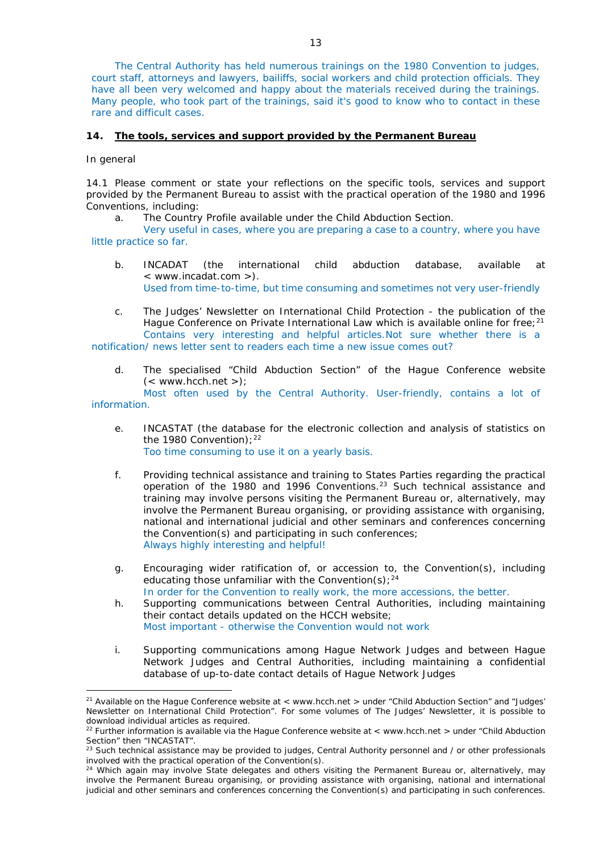The Central Authority has held numerous trainings on the 1980 Convention to judges, court staff, attorneys and lawyers, bailiffs, social workers and child protection officials. They have all been very welcomed and happy about the materials received during the trainings. Many people, who took part of the trainings, said it's good to know who to contact in these rare and difficult cases.

### **14. The tools, services and support provided by the Permanent Bureau**

### *In general*

<u>.</u>

14.1 Please comment or state your reflections on the specific tools, services and support provided by the Permanent Bureau to assist with the practical operation of the 1980 and 1996 Conventions, including:

a. The Country Profile available under the Child Abduction Section.

Very useful in cases, where you are preparing a case to a country, where you have little practice so far.

- b. INCADAT (the international child abduction database, available at < www.incadat.com >). Used from time-to-time, but time consuming and sometimes not very user-friendly
- c. *The Judges' Newsletter* on International Child Protection the publication of the Hague Conference on Private International Law which is available online for free; $21$ Contains very interesting and helpful articles.Not sure whether there is a notification/ news letter sent to readers each time a new issue comes out?
	- d. The specialised "Child Abduction Section" of the Hague Conference website  $(<$  www.hcch.net >);

Most often used by the Central Authority. User-friendly, contains a lot of information.

- e. INCASTAT (the database for the electronic collection and analysis of statistics on the 1980 Convention);  $22$ Too time consuming to use it on a yearly basis.
- f. Providing technical assistance and training to States Parties regarding the practical operation of the 1980 and 1996 Conventions.23 Such technical assistance and training may involve persons visiting the Permanent Bureau or, alternatively, may involve the Permanent Bureau organising, or providing assistance with organising, national and international judicial and other seminars and conferences concerning the Convention(s) and participating in such conferences; Always highly interesting and helpful!
- g. Encouraging wider ratification of, or accession to, the Convention(s), including educating those unfamiliar with the Convention(s);  $24$ In order for the Convention to really work, the more accessions, the better.
- h. Supporting communications between Central Authorities, including maintaining their contact details updated on the HCCH website; Most important - otherwise the Convention would not work
- i. Supporting communications among Hague Network Judges and between Hague Network Judges and Central Authorities, including maintaining a confidential database of up-to-date contact details of Hague Network Judges

<sup>&</sup>lt;sup>21</sup> Available on the Hague Conference website at < www.hcch.net > under "Child Abduction Section" and "Judges' Newsletter on International Child Protection". For some volumes of *The Judges' Newsletter*, it is possible to download individual articles as required.

<sup>22</sup> Further information is available via the Hague Conference website at < www.hcch.net > under "Child Abduction Section" then "INCASTAT".

 $^{23}$  Such technical assistance may be provided to judges, Central Authority personnel and / or other professionals involved with the practical operation of the Convention(s).

<sup>&</sup>lt;sup>24</sup> Which again may involve State delegates and others visiting the Permanent Bureau or, alternatively, may involve the Permanent Bureau organising, or providing assistance with organising, national and international judicial and other seminars and conferences concerning the Convention(s) and participating in such conferences.